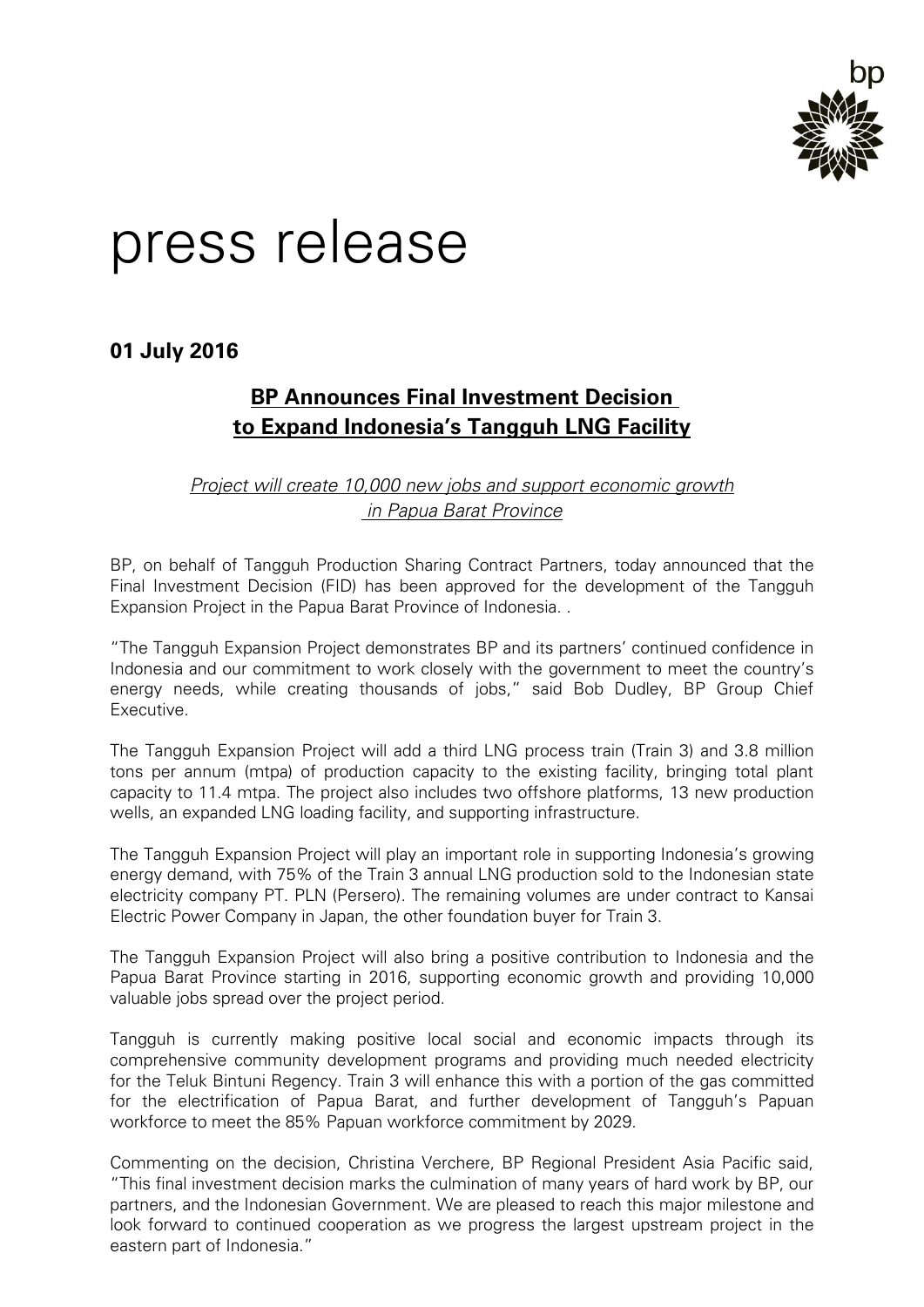

# press release

**01 July 2016**

## **BP Announces Final Investment Decision to Expand Indonesia's Tangguh LNG Facility**

## *Project will create 10,000 new jobs and support economic growth in Papua Barat Province*

BP, on behalf of Tangguh Production Sharing Contract Partners, today announced that the Final Investment Decision (FID) has been approved for the development of the Tangguh Expansion Project in the Papua Barat Province of Indonesia. .

"The Tangguh Expansion Project demonstrates BP and its partners' continued confidence in Indonesia and our commitment to work closely with the government to meet the country's energy needs, while creating thousands of jobs," said Bob Dudley, BP Group Chief Executive.

The Tangguh Expansion Project will add a third LNG process train (Train 3) and 3.8 million tons per annum (mtpa) of production capacity to the existing facility, bringing total plant capacity to 11.4 mtpa. The project also includes two offshore platforms, 13 new production wells, an expanded LNG loading facility, and supporting infrastructure.

The Tangguh Expansion Project will play an important role in supporting Indonesia's growing energy demand, with 75% of the Train 3 annual LNG production sold to the Indonesian state electricity company PT. PLN (Persero). The remaining volumes are under contract to Kansai Electric Power Company in Japan, the other foundation buyer for Train 3.

The Tangguh Expansion Project will also bring a positive contribution to Indonesia and the Papua Barat Province starting in 2016, supporting economic growth and providing 10,000 valuable jobs spread over the project period.

Tangguh is currently making positive local social and economic impacts through its comprehensive community development programs and providing much needed electricity for the Teluk Bintuni Regency. Train 3 will enhance this with a portion of the gas committed for the electrification of Papua Barat, and further development of Tangguh's Papuan workforce to meet the 85% Papuan workforce commitment by 2029.

Commenting on the decision, Christina Verchere, BP Regional President Asia Pacific said, "This final investment decision marks the culmination of many years of hard work by BP, our partners, and the Indonesian Government. We are pleased to reach this major milestone and look forward to continued cooperation as we progress the largest upstream project in the eastern part of Indonesia."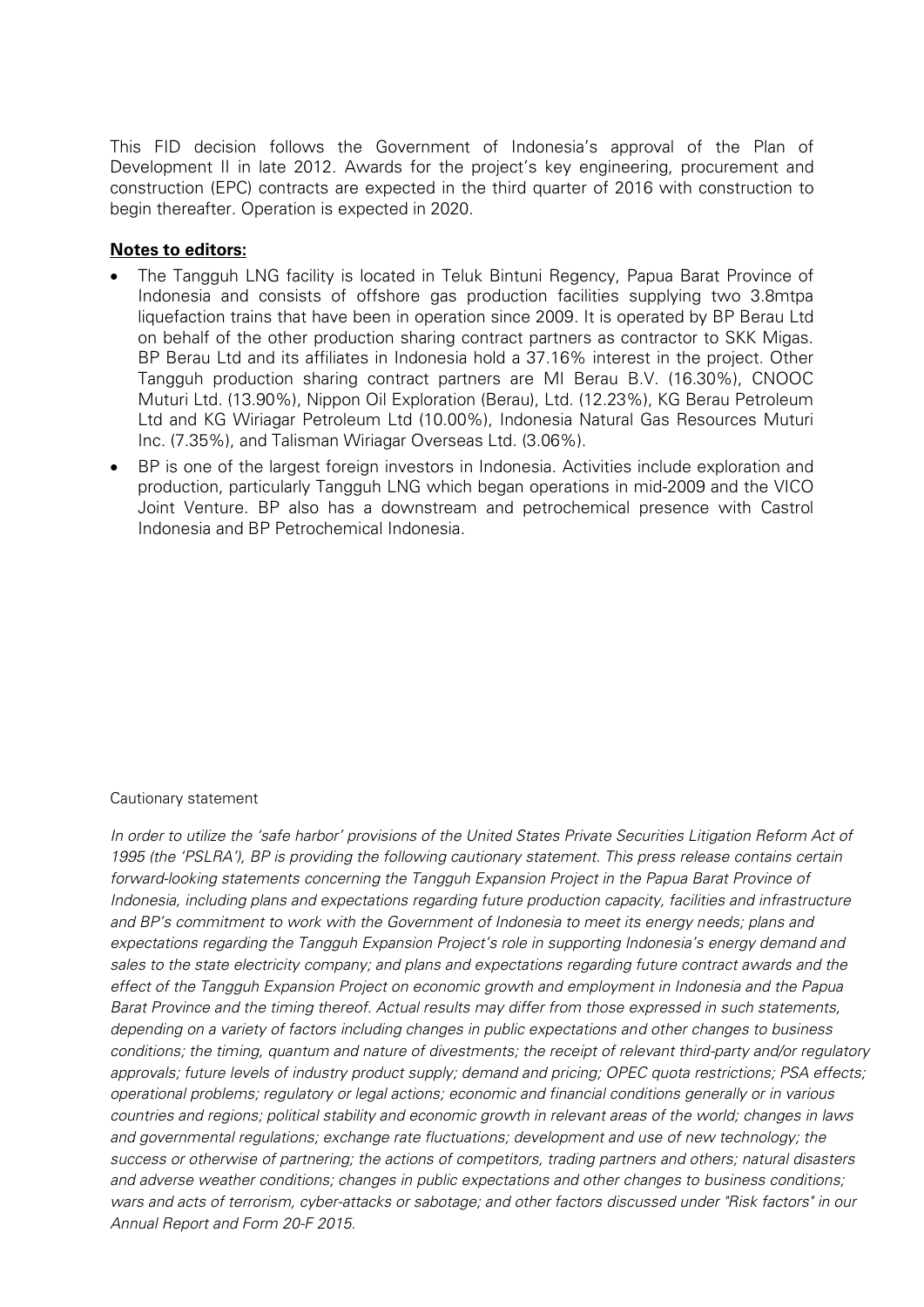This FID decision follows the Government of Indonesia's approval of the Plan of Development II in late 2012. Awards for the project's key engineering, procurement and construction (EPC) contracts are expected in the third quarter of 2016 with construction to begin thereafter. Operation is expected in 2020.

### **Notes to editors:**

- The Tangguh LNG facility is located in Teluk Bintuni Regency, Papua Barat Province of Indonesia and consists of offshore gas production facilities supplying two 3.8mtpa liquefaction trains that have been in operation since 2009. It is operated by BP Berau Ltd on behalf of the other production sharing contract partners as contractor to SKK Migas. BP Berau Ltd and its affiliates in Indonesia hold a 37.16% interest in the project. Other Tangguh production sharing contract partners are MI Berau B.V. (16.30%), CNOOC Muturi Ltd. (13.90%), Nippon Oil Exploration (Berau), Ltd. (12.23%), KG Berau Petroleum Ltd and KG Wiriagar Petroleum Ltd (10.00%), Indonesia Natural Gas Resources Muturi Inc. (7.35%), and Talisman Wiriagar Overseas Ltd. (3.06%).
- BP is one of the largest foreign investors in Indonesia. Activities include exploration and production, particularly Tangguh LNG which began operations in mid-2009 and the VICO Joint Venture. BP also has a downstream and petrochemical presence with Castrol Indonesia and BP Petrochemical Indonesia.

### Cautionary statement

*In order to utilize the 'safe harbor' provisions of the United States Private Securities Litigation Reform Act of 1995 (the 'PSLRA'), BP is providing the following cautionary statement. This press release contains certain forward-looking statements concerning the Tangguh Expansion Project in the Papua Barat Province of Indonesia, including plans and expectations regarding future production capacity, facilities and infrastructure and BP's commitment to work with the Government of Indonesia to meet its energy needs; plans and expectations regarding the Tangguh Expansion Project's role in supporting Indonesia's energy demand and sales to the state electricity company; and plans and expectations regarding future contract awards and the effect of the Tangguh Expansion Project on economic growth and employment in Indonesia and the Papua Barat Province and the timing thereof. Actual results may differ from those expressed in such statements, depending on a variety of factors including changes in public expectations and other changes to business*  conditions; the timing, quantum and nature of divestments; the receipt of relevant third-party and/or regulatory *approvals; future levels of industry product supply; demand and pricing; OPEC quota restrictions; PSA effects; operational problems; regulatory or legal actions; economic and financial conditions generally or in various countries and regions; political stability and economic growth in relevant areas of the world; changes in laws and governmental regulations; exchange rate fluctuations; development and use of new technology; the success or otherwise of partnering; the actions of competitors, trading partners and others; natural disasters and adverse weather conditions; changes in public expectations and other changes to business conditions; wars and acts of terrorism, cyber-attacks or sabotage; and other factors discussed under "Risk factors" in our Annual Report and Form 20-F 2015.*